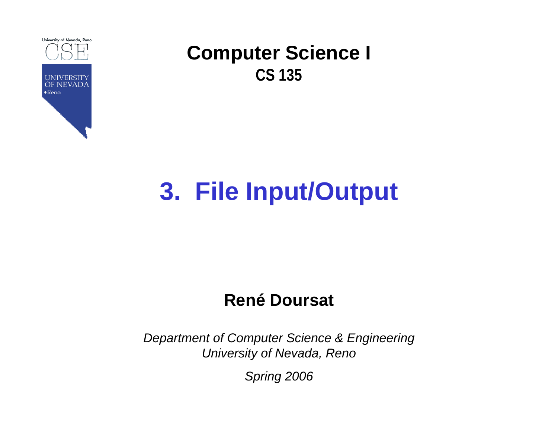

# **3. File Input/Output**

### **René Doursat**

*Department of Computer Science & Engineering University of Nevada, Reno*

*Spring 2006*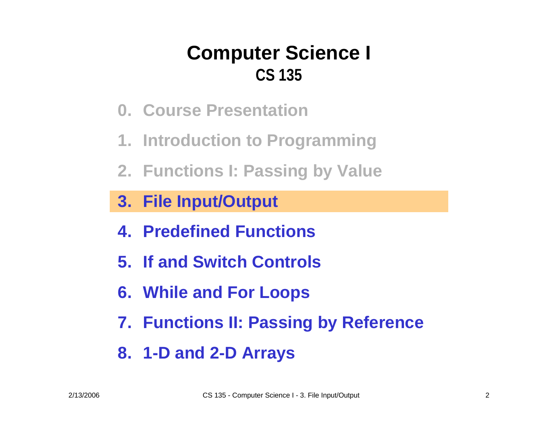- **0. Course Presentation**
- **1. Introduction to Programming**
- **2. Functions I: Passing by Value**

- **4. Predefined Functions**
- **5. If and Switch Controls**
- **6. While and For Loops**
- **7. Functions II: Passing by Reference**
- **8. 1-D and 2-D Arrays**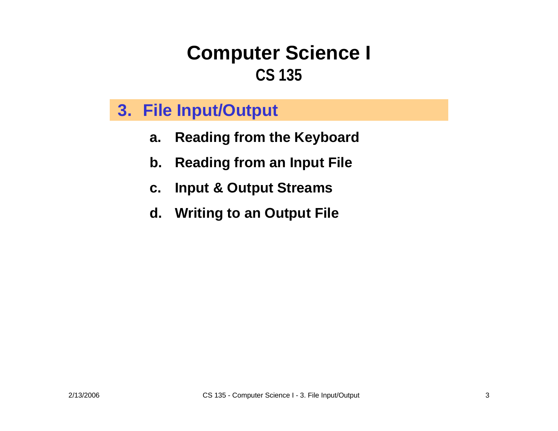- **a.Reading from the Keyboard**
- **b.Reading from an Input File**
- **c.Input & Output Streams**
- **d. Writing to an Output File**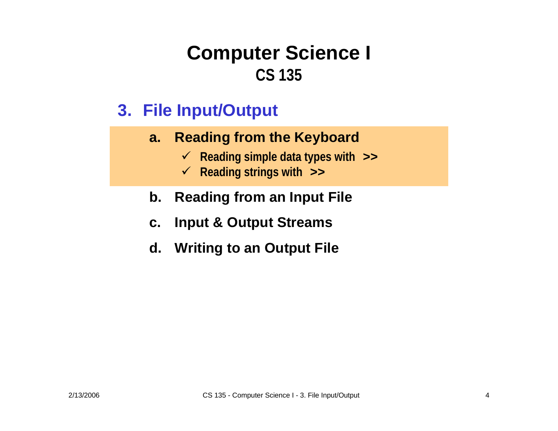- **a. Reading from the Keyboard**
	- 9 **Reading simple data types with >>**
	- 9 **Reading strings with >>**
- **b. Reading from an Input File**
- **c.Input & Output Streams**
- **d. Writing to an Output File**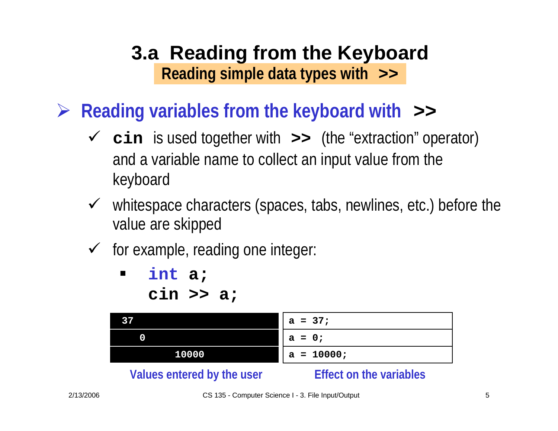- ¾ **Reading variables from the keyboard with >>**
	- 9 **cin** is used together with **>>** (the "extraction" operator) and a variable name to collect an input value from the keyboard
	- $\checkmark$  whitespace characters (spaces, tabs, newlines, etc.) before the value are skipped
	- $\checkmark$  for example, reading one integer:

 $\blacksquare$  **int a; cin >> a;**

| 37                                 | $a = 37;$    |
|------------------------------------|--------------|
| 0                                  | $a = 0;$     |
| 10000                              | $a = 10000;$ |
| Malersa and small levelless consum |              |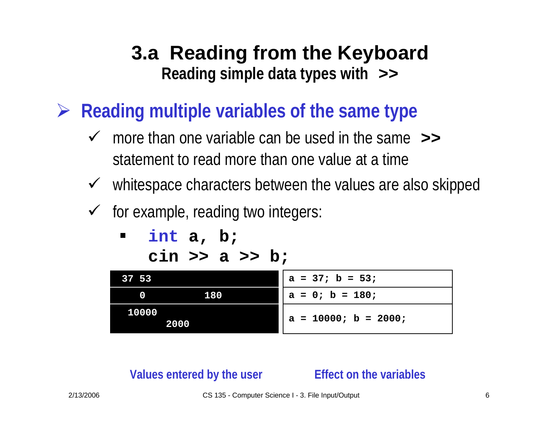- ¾ **Reading multiple variables of the same type**
	- $\checkmark$  more than one variable can be used in the same  $\checkmark$ statement to read more than one value at a time
	- $\checkmark$  whitespace characters between the values are also skipped
	- $\checkmark$  for example, reading two integers:
		- $\blacksquare$  **int a, b; cin >> a >> b;**

| 37 53 |      | $a = 37$ ; b = 53;     |
|-------|------|------------------------|
| 0     | 180  | $a = 0$ ; $b = 180$ ;  |
| 10000 | 2000 | $a = 10000; b = 2000;$ |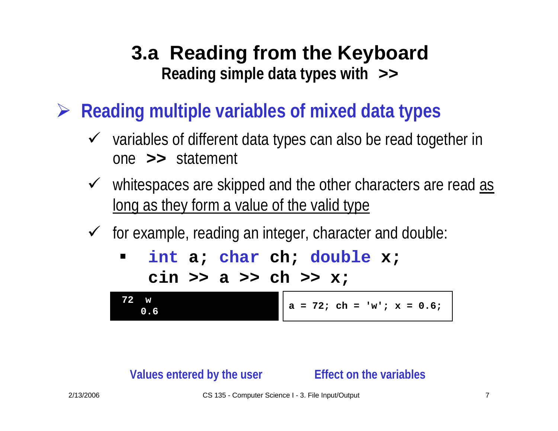¾**Reading multiple variables of mixed data types**

- $\checkmark$  variables of different data types can also be read together in one **>>** statement
- $\checkmark$  whitespaces are skipped and the other characters are read  $\text{as}$ long as they form a value of the valid type
- $\checkmark$  for example, reading an integer, character and double:
	- $\blacksquare$  **int a; char ch; double x; cin >> a >> ch >> x;**

**72 w0.6** $a = 72$ ; ch = 'w'; x = 0.6;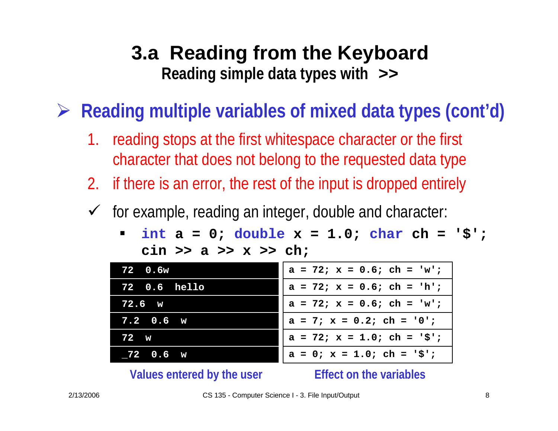¾**Reading multiple variables of mixed data types (cont'd)**

- 1.reading stops at the first whitespace character or the first character that does not belong to the requested data type
- 2. if there is an error, the rest of the input is dropped entirely
- $\sqrt{ }$  for example, reading an integer, double and character:
	- ٠ **int a = 0; double x = 1.0; char ch <sup>=</sup>'\$'; cin >> a >> x >> ch;**

| 72 0.6w               | $a = 72$ ; $x = 0.6$ ; ch = 'w';    |
|-----------------------|-------------------------------------|
| <b>72</b> 0.6 hello   | $a = 72$ ; $x = 0.6$ ; $ch = 'h'$ ; |
| 72.6 w                | $a = 72$ ; $x = 0.6$ ; ch = 'w';    |
| $7.2\quad 0.6\quad w$ | $a = 7$ ; $x = 0.2$ ; ch = '0';     |
| $72 \text{ w}$        | $a = 72$ ; $x = 1.0$ ; ch = '\$';   |
| $72$ 0.6 $w$          | $a = 0$ ; $x = 1.0$ ; ch = '\$';    |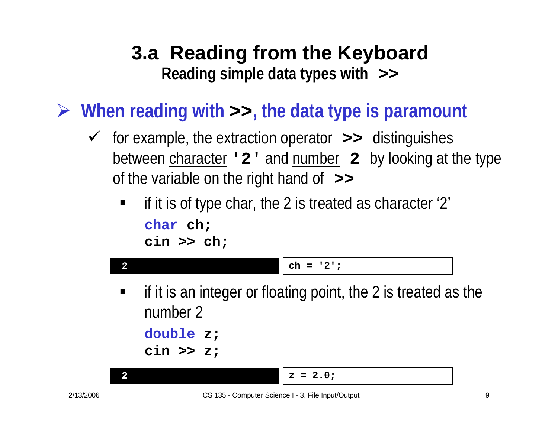- ¾ **When reading with >>, the data type is paramount**
	- 9 for example, the extraction operator **>>** distinguishes between character **'2'** and number **<sup>2</sup>**by looking at the type of the variable on the right hand of **>>**
		- $\blacksquare$  if it is of type char, the 2 is treated as character '2' **char ch; cin >> ch;**

```
2 ch ='2';
2 z = 2.0;
\blacksquare if it is an integer or floating point, the 2 is treated as the 
    number 2double z;
     cin >> z;
```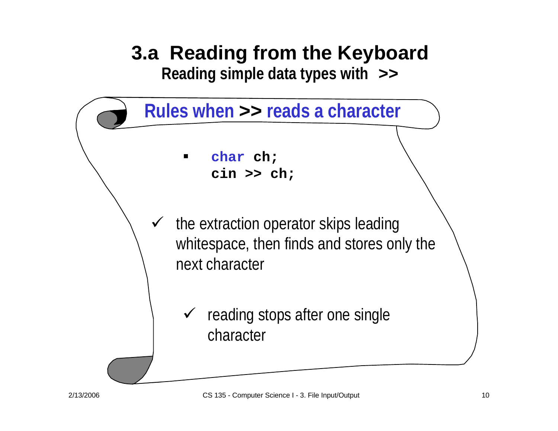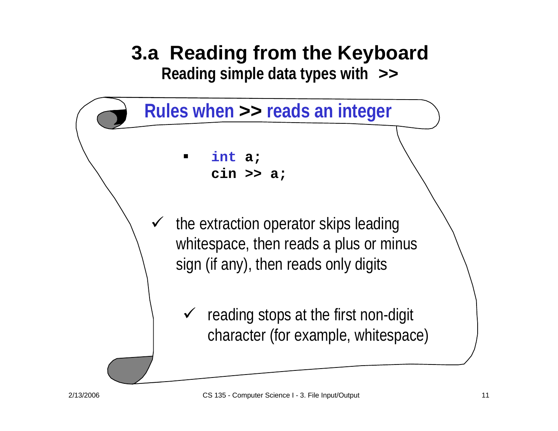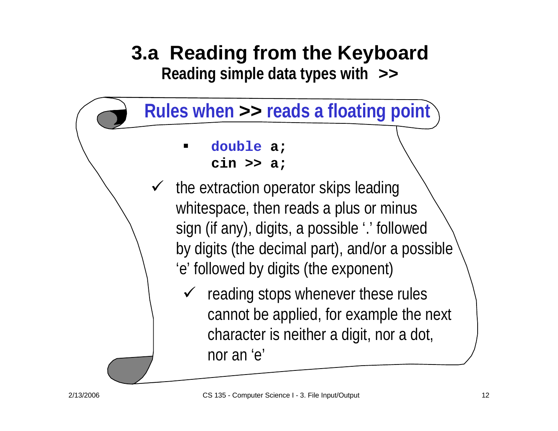

- ٠ **double a; cin >> a;**
- $\checkmark$  the extraction operator skips leading whitespace, then reads a plus or minus sign (if any), digits, a possible '.' followed by digits (the decimal part), and/or a possible 'e' followed by digits (the exponent)
	- $\checkmark$  reading stops whenever these rules cannot be applied, for example the next character is neither a digit, nor a dot, nor an 'e'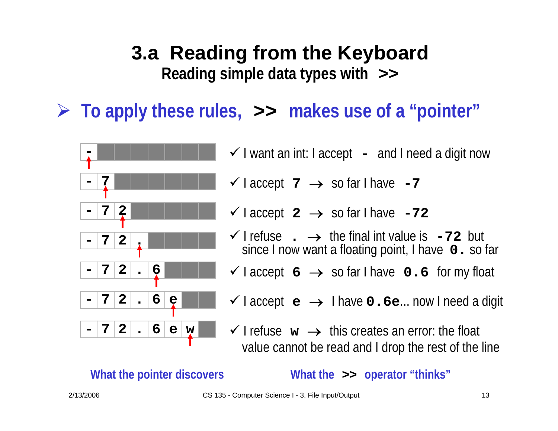¾ **To apply these rules, >> makes use of a "pointer"**



- $\checkmark$  I want an int: I accept **-**- and I need a digit now
- $\checkmark$  I accept  $\checkmark$   $\to$  so far I have  $\checkmark$ -7
- $\checkmark$  I accept  $2 \to \text{so far I have } -72$
- **2 .**  $\blacksquare$  **1** I **refuse .**  $\rightarrow$  the final int value is **-72** but since I now want a floating point, I have **0.** so far
	- 9 I accept **<sup>6</sup>** → so far I have **0.6** for my float
	- 9 I accept **<sup>e</sup>** → I have **0.6e**... now I need a digit
	- $\checkmark$  I refuse  $\mathbf{w} \to \checkmark$  this creates an error: the float value cannot be read and I drop the rest of the line

**What the pointer discovers What the >> operator "thinks"**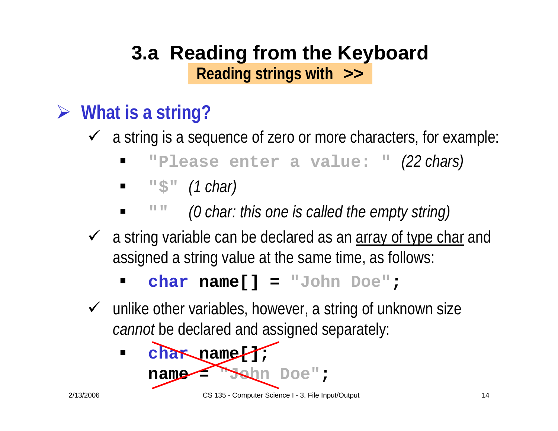### **3.a Reading from the Keyboard Reading strings with >>**

# ¾ **What is a string?**

 $\checkmark$  a string is a sequence of zero or more characters, for example:

- $\blacksquare$ **"Please enter a value: "** *(22 chars)*
- $\blacksquare$ **"\$"** *(1 char)*
- $\blacksquare$ **""** *(0 char: this one is called the empty string)*
- $\checkmark$  a string variable can be declared as an array of type char and assigned a string value at the same time, as follows:
	- **char name[] = "John Doe" ;**
- $\checkmark$  unlike other variables, however, a string of unknown size *cannot* be declared and assigned separately:

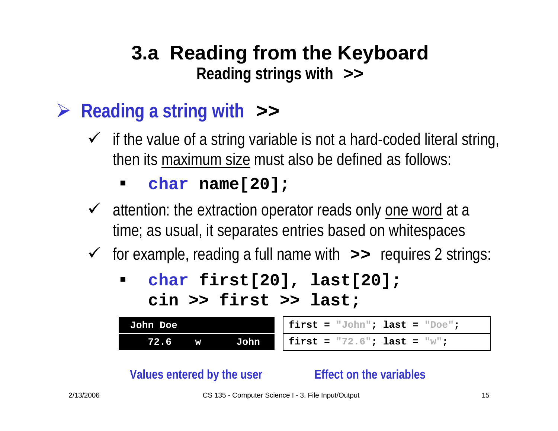### **3.a Reading from the Keyboard Reading strings with >>**

### ¾**Reading a string with >>**

 $\checkmark$  if the value of a string variable is not a hard-coded literal string, then its maximum size must also be defined as follows:

### **char name[20];**

- $\checkmark$  attention: the extraction operator reads only one word at a time; as usual, it separates entries based on whitespaces
- 9 for example, reading a full name with **>>** requires 2 strings:
	- $\blacksquare$  **char first[20], last[20]; cin >> first >> last;**

| <b>John Doe</b> |   |      | first = "John"; last = "Doe";    |
|-----------------|---|------|----------------------------------|
| 72.6            | W | John | first = $"72.6"$ ; last = $"w$ ; |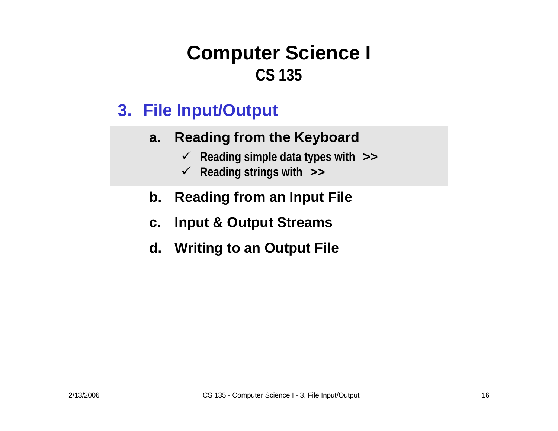### **3. File Input/Output**

### **a.Reading from the Keyboard**

- 9 **Reading simple data types with >>**
- 9 **Reading strings with >>**
- **b.Reading from an Input File**
- **c.Input & Output Streams**
- **d. Writing to an Output File**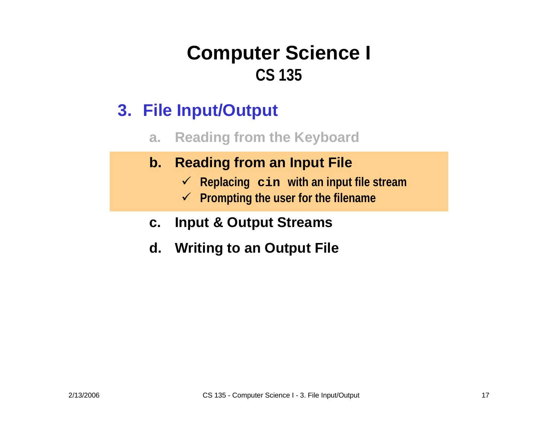- **a.Reading from the Keyboard**
- **b. Reading from an Input File**
	- 9 **Replacing cin with an input file stream**
	- 9 **Prompting the user for the filename**
- **c.Input & Output Streams**
- **d. Writing to an Output File**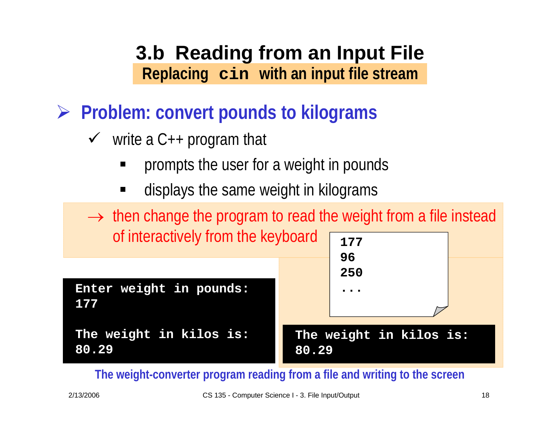- ¾ **Problem: convert pounds to kilograms**
	- $\checkmark$  write a C++ program that
		- ٠ prompts the user for a weight in pounds
		- ٠ displays the same weight in kilograms

 $\rightarrow$  then change the program to read the weight from a file instead of interactively from the keyboard **<sup>177</sup>**

**Enter weight in pounds: 177**

**The weight in kilos is: 80.29**



### **The weight in kilos is: 80.29**

**The weight-converter program reading from a file and writing to the screen**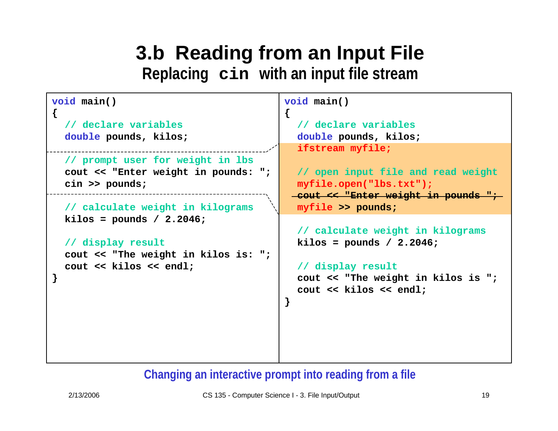**{**

```
void main()
{
  // declare variables
  double pounds, kilos;
  // prompt user for weight in lbs
  cout << "Enter weight in pounds: ";
  cin >> pounds;
  // calculate weight in kilograms
 kilos = pounds / 2.2046;
  // display result
  cout << "The weight in kilos is: ";
  cout << kilos << endl;
}
```

```
void main()
```

```
// declare variables
double pounds, kilos;
ifstream myfile;
```

```
// open input file and read weight
myfile.open("lbs.txt");
cout << "Enter weight in pounds ";
myfile >> pounds;
```

```
// calculate weight in kilograms
kilos = pounds / 2.2046;
```

```
// display result
cout << "The weight in kilos is ";
cout << kilos << endl;
```
### **Changing an interactive prompt into reading from a file**

**}**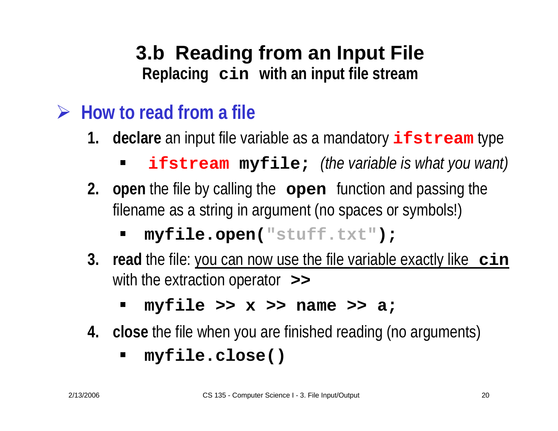- ¾ **How to read from a file**
	- **1. declare** an input file variable as a mandatory **ifstream** type
		- **ifstream myfile;** *(the variable is what you want)*
	- **2. open** the file by calling the **open** function and passing the filename as a string in argument (no spaces or symbols!)
		- ٠ **myfile.open("stuff.txt");**
	- **3. read** the file: you can now use the file variable exactly like **cin** with the extraction operator **>>** 
		- **myfile >> x >> name >> a;**
	- **4. close** the file when you are finished reading (no arguments)
		- **myfile.close()**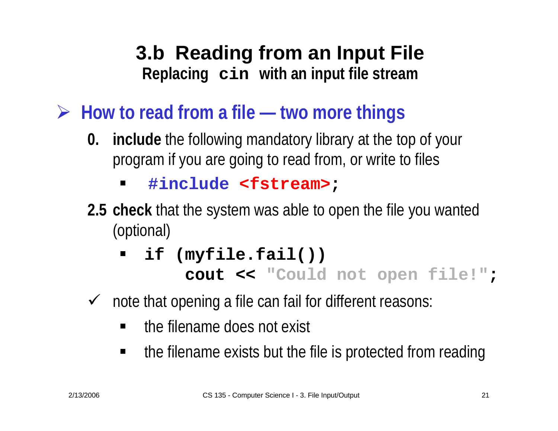- ¾ **How to read from a file — two more things**
	- **0. include** the following mandatory library at the top of your program if you are going to read from, or write to files
		- $\blacksquare$ **#include <fstream> ;**
	- **2.5 check** that the system was able to open the file you wanted (optional)
		- $\blacksquare$ **if (myfile.fail())**

**cout << "Could not open file!" ;**

- $\sqrt{ }$  note that opening a file can fail for different reasons:
	- ٠ the filename does not exist
	- $\blacksquare$ the filename exists but the file is protected from reading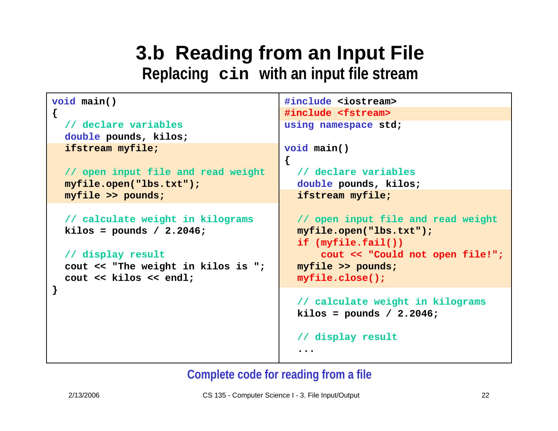```
void main()
{
  // declare variables
  double pounds, kilos;
  ifstream myfile;
  // open input file and read weight
 myfile.open("lbs.txt");
 myfile >> pounds;
  // calculate weight in kilograms
 kilos = pounds / 2.2046;
  // display result
  cout << "The weight in kilos is ";
  cout << kilos << endl;
}
                                        #include <iostream>
                                        #include <fstream>
                                        using namespace std;
                                         void main()
                                        {
                                           // declare variables
                                           double pounds, kilos;
                                           ifstream myfile;
                                           // open input file and read weight
                                           myfile.open("lbs.txt");
                                           if (myfile.fail())
                                               cout << "Could not open file!";
                                           myfile >> pounds;
                                           myfile.close();
                                           // calculate weight in kilograms
                                           kilos = pounds / 2.2046;
                                           // display result
                                           ...
```
### **Complete code for reading from a file**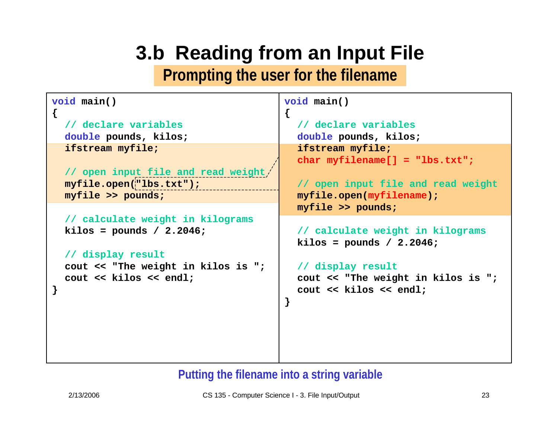# **3.b Reading from an Input File**

**Prompting the user for the filename**

**{**

```
void main()
```
**{**

**}**

**// declare variables double pounds, kilos; ifstream myfile;**

```
// open input file and read weight
myfile.open("lbs.txt");
myfile >> pounds;
```

```
// calculate weight in kilograms
kilos = pounds / 2.2046;
```

```
// display result
cout << "The weight in kilos is ";
cout << kilos << endl;
```

```
void main()
```

```
// declare variables
double pounds, kilos;
ifstream myfile;
char myfilename[] = "lbs.txt";
```

```
// open input file and read weight
myfile.open(myfilename);
myfile >> pounds;
```

```
// calculate weight in kilograms
kilos = pounds / 2.2046;
```

```
// display result
cout << "The weight in kilos is ";
cout << kilos << endl;
```
### **Putting the filename into a string variable**

**}**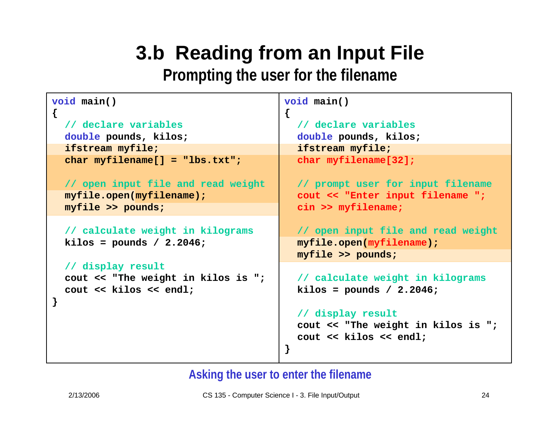# **3.b Reading from an Input File**

**Prompting the user for the filename**

**{**

```
void main()
```
**{**

**}**

**// declare variables double pounds, kilos; ifstream myfile; char myfilename[] = "lbs.txt";**

**// open input file and read weight myfile.open(myfilename); myfile >> pounds;**

**// calculate weight in kilograms kilos = pounds / 2.2046;**

**// display result cout << "The weight in kilos is "; cout << kilos << endl;**

```
void main()
```
**// declare variables double pounds, kilos; ifstream myfile; char myfilename[32];**

**// prompt user for input filename cout << "Enter input filename "; cin >> myfilename;**

**// open input file and read weight myfile.open(myfilename); myfile >> pounds;**

```
// calculate weight in kilograms
kilos = pounds / 2.2046;
```
**// display result cout << "The weight in kilos is "; cout << kilos << endl;**

**Asking the user to enter the filename**

**}**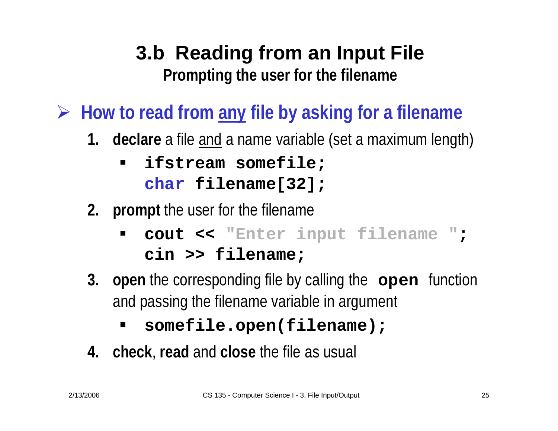# **3.b Reading from an Input File Prompting the user for the filename**

¾ **How to read from any file by asking for a filename**

- **1. declare** a file and a name variable (set a maximum length)
	- $\blacksquare$  **ifstream somefile; char filename[32];**
- **2. prompt** the user for the filename
	- ٠ **cout << "Enter input filename " ; cin >> filename;**
- **3. open** the corresponding file by calling the **open** function and passing the filename variable in argument
	- **somefile.open(filename);**
- **4. check**, **read** and **close** the file as usual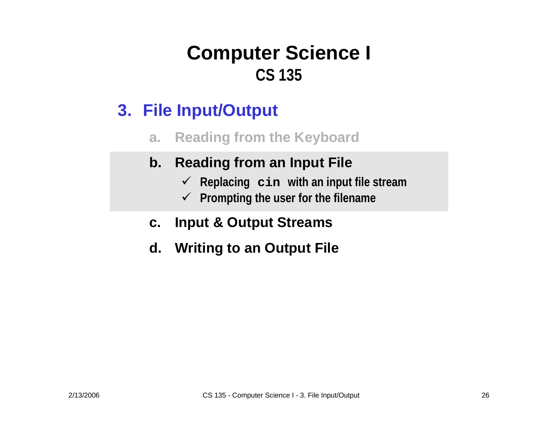- **a.Reading from the Keyboard**
- **b. Reading from an Input File**
	- 9 **Replacing cin with an input file stream**
	- 9 **Prompting the user for the filename**
- **c.Input & Output Streams**
- **d. Writing to an Output File**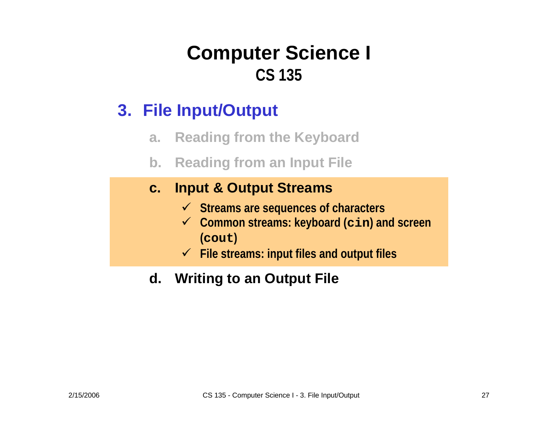### **3. File Input/Output**

- **a.Reading from the Keyboard**
- **b. Reading from an Input File**

### **c.Input & Output Streams**

- 9 **Streams are sequences of characters**
- 9 **Common streams: keyboard (cin) and screen (cout )**
- 9 **File streams: input files and output files**
- **d. Writing to an Output File**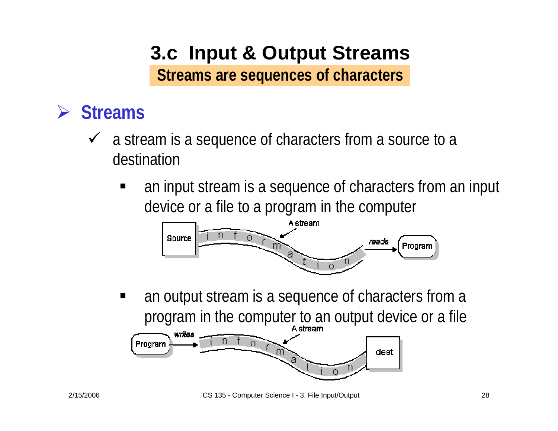# **3.c Input & Output Streams Streams are sequences of characters**

### ¾ **Streams**

- $\checkmark$  a stream is a sequence of characters from a source to a destination
	- $\blacksquare$  an input stream is a sequence of characters from an input device or a file to a program in the computer



 an output stream is a sequence of characters from a program in the computer to an output device or a file

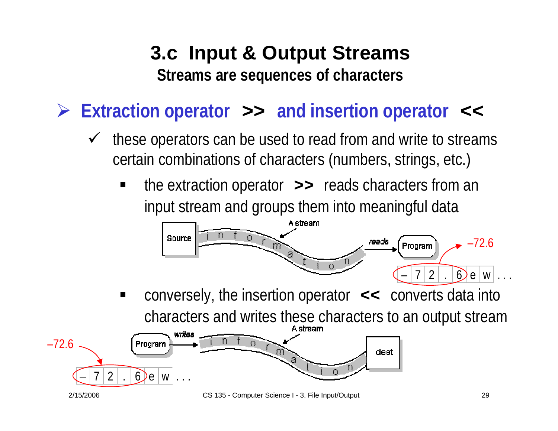# **3.c Input & Output Streams Streams are sequences of characters**

¾ **Extraction operator >> and insertion operator <<**

- $\checkmark$  these operators can be used to read from and write to streams certain combinations of characters (numbers, strings, etc.)
	- ٠ the extraction operator **>>** reads characters from an input stream and groups them into meaningful data



 conversely, the insertion operator **<<** converts data into characters and writes these characters to an output stream



2/15/2006 CS 135 - Computer Science I - 3. File Input/Output 29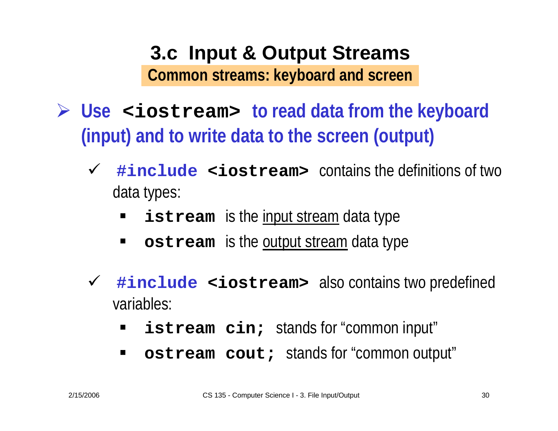### **3.c Input & Output Streams Common streams: keyboard and screen**

- ¾ **Use <iostream> to read data from the keyboard (input) and to write data to the screen (output)**
	- $\checkmark$  #include <iostream> contains the definitions of two data types:
		- $\blacksquare$ **istream** is the <u>input stream</u> data type
		- $\blacksquare$ **• ostream** is the <u>output stream</u> data type
	- 9 **#include <iostream>** also contains two predefined variables:
		- $\blacksquare$ **istream cin;** stands for "common input"
		- $\blacksquare$ **ostream cout;** stands for "common output"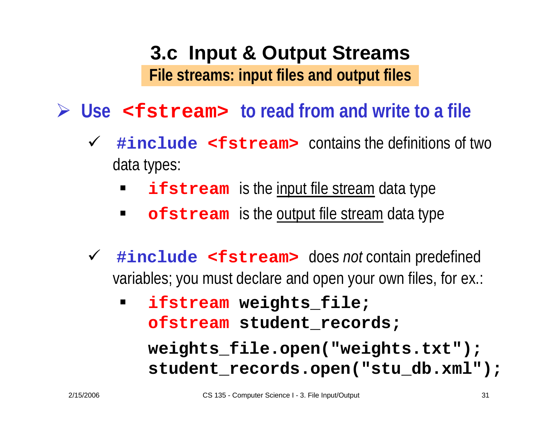# **3.c Input & Output Streams File streams: input files and output files**

### ¾ **Use <fstream> to read from and write to a file**

- 9 **#include <fstream>** contains the definitions of two data types:
	- $\blacksquare$ **ifstream** is the <u>input file stream</u> data type
	- $\blacksquare$ **Figure 1.5 The Stream** is the <u>output file stream</u> data type
- 9 **#include <fstream>** does *not* contain predefined variables; you must declare and open your own files, for ex.:
	- $\blacksquare$  **ifstream weights\_file; ofstream student\_records; weights\_file.open("weights.txt"); student\_records.open("stu\_db.xml");**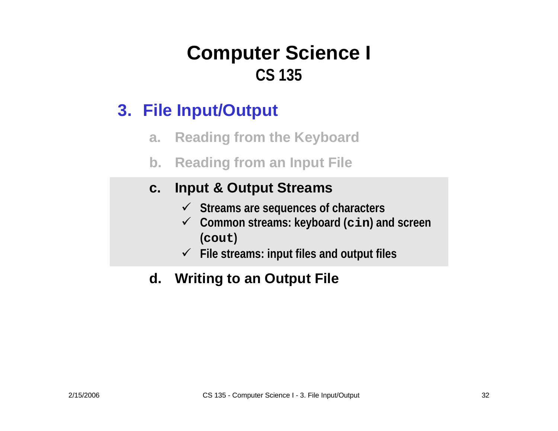### **3. File Input/Output**

- **a.Reading from the Keyboard**
- **b. Reading from an Input File**

### **c.Input & Output Streams**

- 9 **Streams are sequences of characters**
- 9 **Common streams: keyboard (cin) and screen (cout )**
- 9 **File streams: input files and output files**

### **d. Writing to an Output File**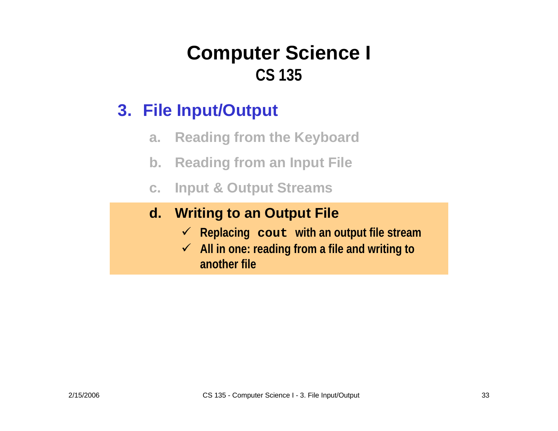### **3. File Input/Output**

- **a.Reading from the Keyboard**
- **b. Reading from an Input File**
- **c.Input & Output Streams**

### **d. Writing to an Output File**

- 9 **Replacing cout with an output file stream**
- 9 **All in one: reading from a file and writing to another file**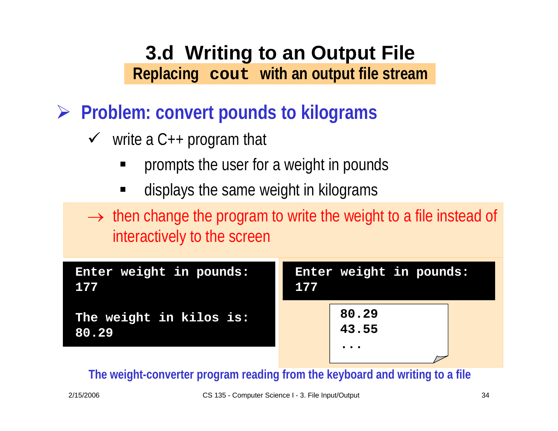- ¾ **Problem: convert pounds to kilograms**
	- $\checkmark$  write a C++ program that
		- ٠ prompts the user for a weight in pounds
		- ٠ displays the same weight in kilograms
	- $\rightarrow$  then change the program to write the weight to a file instead of interactively to the screen

| Enter weight in pounds:          | Enter weight in pounds:                               |
|----------------------------------|-------------------------------------------------------|
| 177                              | 177                                                   |
| The weight in kilos is:<br>80.29 | 80.29<br>43.55<br>$\bullet\quad \bullet\quad \bullet$ |

**The weight-converter program reading from the keyboard and writing to a file**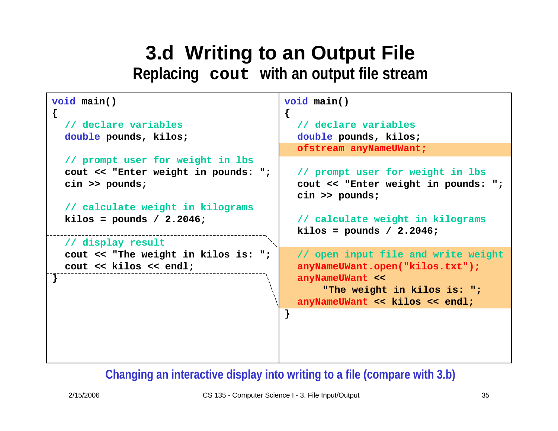```
void main()
{
  // declare variables
  double pounds, kilos;
  // prompt user for weight in lbs
  cout << "Enter weight in pounds: ";
  cin >> pounds;
  // calculate weight in kilograms
 kilos = pounds / 2.2046;
 // display result
  cout << "The weight in kilos is: ";
  cout << kilos << endl;
}
                                         void main()
                                         {
                                           anyNameUWant << kilos << endl;
                                         }
```

```
// declare variables
double pounds, kilos;
ofstream anyNameUWant;
```

```
// prompt user for weight in lbs
cout << "Enter weight in pounds: ";
cin >> pounds;
```

```
// calculate weight in kilograms
kilos = pounds / 2.2046;
```
**// open input file and write weight anyNameUWant.open("kilos.txt"); anyNameUWant << "The weight in kilos is: ";**

### **Changing an interactive display into writing to a file (compare with 3.b)**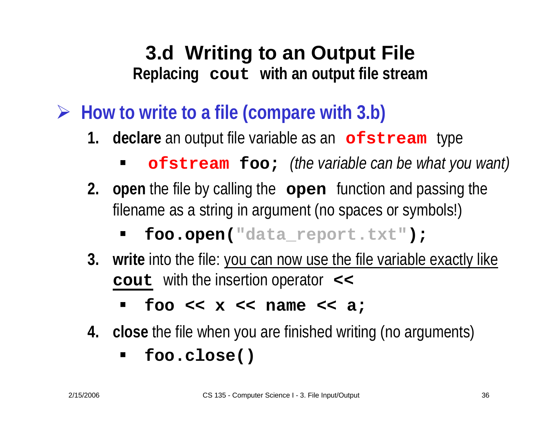- ¾ **How to write to a file (compare with 3.b)**
	- **1. declare** an output file variable as an **ofstream** type
		- **ofstream foo;** *(the variable can be what you want)*
	- **2. open** the file by calling the **open** function and passing the filename as a string in argument (no spaces or symbols!)
		- ٠ **foo.open("data\_report.txt");**
	- **3. write** into the file: you can now use the file variable exactly like **cout** with the insertion operator **<<** 
		- **foo << x << name << a;**
	- **4. close** the file when you are finished writing (no arguments)
		- $\blacksquare$ **foo.close()**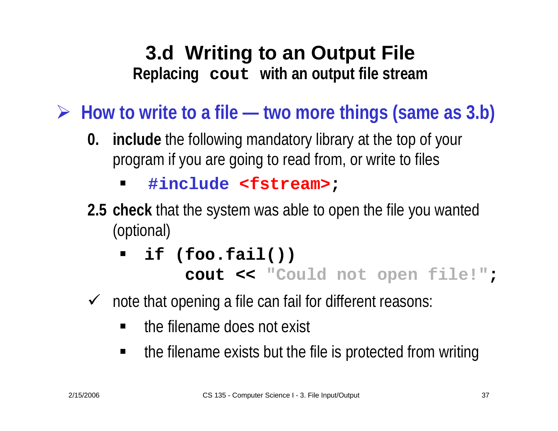¾ **How to write to a file — two more things (same as 3.b)**

- **0. include** the following mandatory library at the top of your program if you are going to read from, or write to files
	- $\blacksquare$ **#include <fstream> ;**
- **2.5 check** that the system was able to open the file you wanted (optional)
	- $\blacksquare$ **if (foo.fail())**

```
cout
<< "Could not open file!"
;
```
- $\sqrt{ }$  note that opening a file can fail for different reasons:
	- ٠ the filename does not exist
	- $\blacksquare$ the filename exists but the file is protected from writing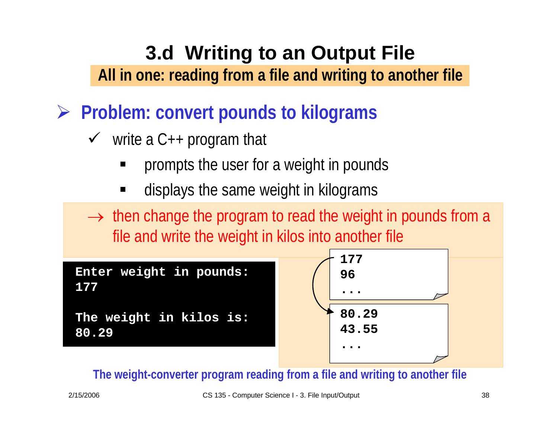### **3.d Writing to an Output File All in one: reading from a file and writing to another file**

- ¾ **Problem: convert pounds to kilograms**
	- $\checkmark$  write a C++ program that
		- ٠ prompts the user for a weight in pounds
		- ٠ displays the same weight in kilograms

 $\rightarrow$  then change the program to read the weight in pounds from a file and write the weight in kilos into another file

**Enter weight in pounds: 177**

```
The weight in kilos is:
80.29
```


**The weight-converter program reading from a file and writing to another file**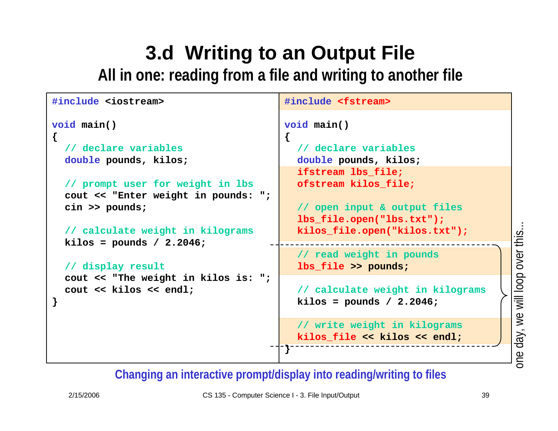### **3.d Writing to an Output File All in one: reading from a file and writing to another file**

```
#include <iostream>
void main()
{
  // declare variables
  double pounds, kilos;
  // prompt user for weight in lbs
  cout << "Enter weight in pounds: ";
  cin >> pounds;
  // calculate weight in kilograms
  kilos = pounds / 2.2046;
  // display result
  cout << "The weight in kilos is: ";
  cout << kilos << endl;
}
                                         #include <fstream>
                                         void main()
                                         {
                                           // declare variables
                                           double pounds, kilos;
                                           ifstream lbs_file;
                                           ofstream kilos_file;
                                           // open input & output files
                                           lbs_file.open("lbs.txt");
                                           kilos_file.open("kilos.txt");
                                           // read weight in pounds
                                           lbs_file >> pounds;
                                           // calculate weight in kilograms
                                           kilos = pounds / 2.2046;
                                           // write weight in kilograms
                                           kilos_file << kilos << endl;
                                         }
```
**Changing an interactive prompt/display into reading/writing to file s**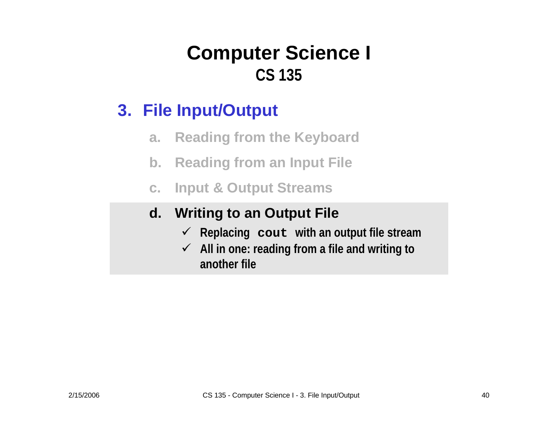### **3. File Input/Output**

- **a.Reading from the Keyboard**
- **b. Reading from an Input File**
- **c.Input & Output Streams**

### **d. Writing to an Output File**

- 9 **Replacing cout with an output file stream**
- 9 **All in one: reading from a file and writing to another file**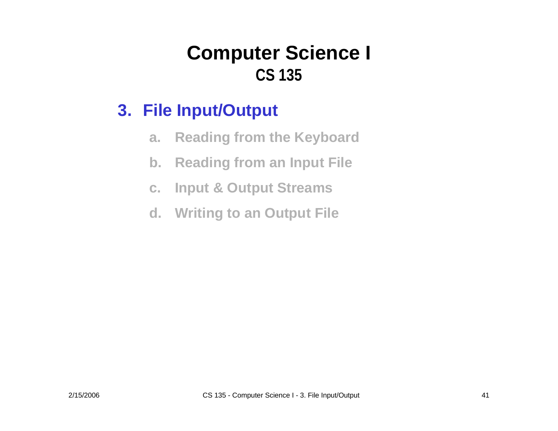- **a.Reading from the Keyboard**
- **b. Reading from an Input File**
- **c.Input & Output Streams**
- **d. Writing to an Output File**